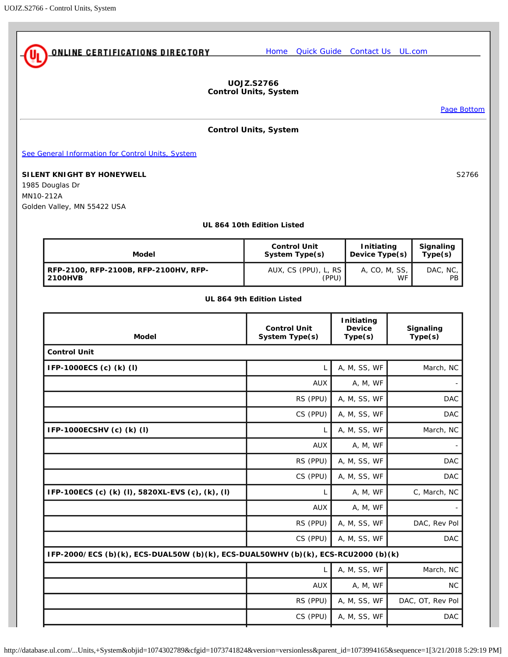<span id="page-0-0"></span>

**UOJZ.S2766 Control Units, System**

[Page Bottom](#page-5-0)

## **Control Units, System**

[See General Information for Control Units, System](http://database.ul.com/cgi-bin/XYV/template/LISEXT/1FRAME/showpage.html?&name=UOJZ.GuideInfo&ccnshorttitle=Control+Units,+System&objid=1074302591&cfgid=1073741824&version=versionless&parent_id=1073994165&sequence=1)

**SILENT KNIGHT BY HONEYWELL** S2766

1985 Douglas Dr MN10-212A Golden Valley, MN 55422 USA

### **UL 864 10th Edition Listed**

| Model                                 | <b>Control Unit</b>  | Initiating       | Signaling |
|---------------------------------------|----------------------|------------------|-----------|
|                                       | System Type(s)       | Device $Type(s)$ | Type(s)   |
| RFP-2100, RFP-2100B, RFP-2100HV, RFP- | AUX, CS (PPU), L, RS | A, CO, M, SS,    | DAC, NC.  |
| 2100HVB                               | (PPU)                | WF               | PB        |

## **UL 864 9th Edition Listed**

| <b>Control Unit</b><br>System Type(s) | Initiating<br><b>Device</b><br>Type(s) | Signaling<br>Type(s)                                                              |
|---------------------------------------|----------------------------------------|-----------------------------------------------------------------------------------|
|                                       |                                        |                                                                                   |
| L                                     | A, M, SS, WF                           | March, NC                                                                         |
| <b>AUX</b>                            | A, M, WF                               |                                                                                   |
| RS (PPU)                              | A, M, SS, WF                           | <b>DAC</b>                                                                        |
| CS (PPU)                              | A, M, SS, WF                           | <b>DAC</b>                                                                        |
| L                                     | A, M, SS, WF                           | March, NC                                                                         |
| <b>AUX</b>                            | A, M, WF                               |                                                                                   |
| RS (PPU)                              | A, M, SS, WF                           | <b>DAC</b>                                                                        |
| CS (PPU)                              | A, M, SS, WF                           | <b>DAC</b>                                                                        |
| L                                     | A, M, WF                               | C, March, NC                                                                      |
| <b>AUX</b>                            | A, M, WF                               |                                                                                   |
| RS (PPU)                              | A, M, SS, WF                           | DAC, Rev Pol                                                                      |
| CS (PPU)                              | A, M, SS, WF                           | <b>DAC</b>                                                                        |
|                                       |                                        |                                                                                   |
| L                                     | A, M, SS, WF                           | March, NC                                                                         |
| <b>AUX</b>                            | A, M, WF                               | <b>NC</b>                                                                         |
| RS (PPU)                              | A, M, SS, WF                           | DAC, OT, Rev Pol                                                                  |
| CS (PPU)                              | A, M, SS, WF                           | <b>DAC</b>                                                                        |
|                                       |                                        | IFP-2000/ECS (b)(k), ECS-DUAL50W (b)(k), ECS-DUAL50WHV (b)(k), ECS-RCU2000 (b)(k) |

http://database.ul.com/...Units,+System&objid=1074302789&cfgid=1073741824&version=versionless&parent\_id=1073994165&sequence=1[3/21/2018 5:29:19 PM]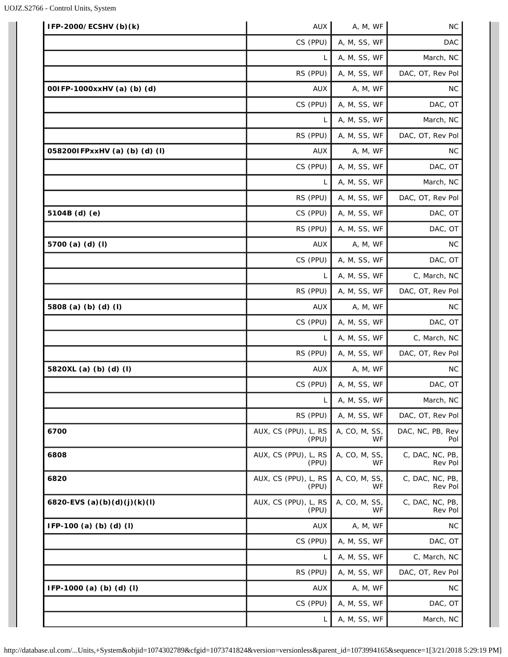| IFP-2000/ECSHV (b)(k)         | AUX                           | A, M, WF            | NC                         |
|-------------------------------|-------------------------------|---------------------|----------------------------|
|                               | CS (PPU)                      | A, M, SS, WF        | <b>DAC</b>                 |
|                               |                               | A, M, SS, WF        | March, NC                  |
|                               | RS (PPU)                      | A, M, SS, WF        | DAC, OT, Rev Pol           |
| 001FP-1000xxHV (a) (b) (d)    | <b>AUX</b>                    | A, M, WF            | <b>NC</b>                  |
|                               | CS (PPU)                      | A, M, SS, WF        | DAC, OT                    |
|                               | L                             | A, M, SS, WF        | March, NC                  |
|                               | RS (PPU)                      | A, M, SS, WF        | DAC, OT, Rev Pol           |
| 0582001FPxxHV (a) (b) (d) (l) | <b>AUX</b>                    | A, M, WF            | <b>NC</b>                  |
|                               | CS (PPU)                      | A, M, SS, WF        | DAC, OT                    |
|                               | L                             | A, M, SS, WF        | March, NC                  |
|                               | RS (PPU)                      | A, M, SS, WF        | DAC, OT, Rev Pol           |
| 5104B (d) (e)                 | CS (PPU)                      | A, M, SS, WF        | DAC, OT                    |
|                               | RS (PPU)                      | A, M, SS, WF        | DAC, OT                    |
| 5700 (a) (d) (l)              | <b>AUX</b>                    | A, M, WF            | <b>NC</b>                  |
|                               | CS (PPU)                      | A, M, SS, WF        | DAC, OT                    |
|                               | L                             | A, M, SS, WF        | C, March, NC               |
|                               | RS (PPU)                      | A, M, SS, WF        | DAC, OT, Rev Pol           |
| 5808 (a) (b) (d) (l)          | <b>AUX</b>                    | A, M, WF            | <b>NC</b>                  |
|                               | CS (PPU)                      | A, M, SS, WF        | DAC, OT                    |
|                               | L                             | A, M, SS, WF        | C, March, NC               |
|                               | RS (PPU)                      | A, M, SS, WF        | DAC, OT, Rev Pol           |
| 5820XL (a) (b) (d) (l)        | <b>AUX</b>                    | A, M, WF            | <b>NC</b>                  |
|                               | CS (PPU)                      | A, M, SS, WF        | DAC, OT                    |
|                               | L                             | A, M, SS, WF        | March, NC                  |
|                               | RS (PPU)                      | A, M, SS, WF        | DAC, OT, Rev Pol           |
| 6700                          | AUX, CS (PPU), L, RS<br>(PPU) | A, CO, M, SS,<br>WF | DAC, NC, PB, Rev<br>Pol    |
| 6808                          | AUX, CS (PPU), L, RS<br>(PPU) | A, CO, M, SS,<br>WF | C, DAC, NC, PB,<br>Rev Pol |
| 6820                          | AUX, CS (PPU), L, RS<br>(PPU) | A, CO, M, SS,<br>WF | C, DAC, NC, PB,<br>Rev Pol |
| 6820-EVS (a)(b)(d)(j)(k)(l)   | AUX, CS (PPU), L, RS<br>(PPU) | A, CO, M, SS,<br>WF | C, DAC, NC, PB,<br>Rev Pol |
| IFP-100 (a) (b) (d) (l)       | <b>AUX</b>                    | A, M, WF            | <b>NC</b>                  |
|                               | CS (PPU)                      | A, M, SS, WF        | DAC, OT                    |
|                               | L                             | A, M, SS, WF        | C, March, NC               |
|                               | RS (PPU)                      | A, M, SS, WF        | DAC, OT, Rev Pol           |
| IFP-1000 (a) (b) (d) (l)      | <b>AUX</b>                    | A, M, WF            | <b>NC</b>                  |
|                               | CS (PPU)                      | A, M, SS, WF        | DAC, OT                    |
|                               | L                             | A, M, SS, WF        | March, NC                  |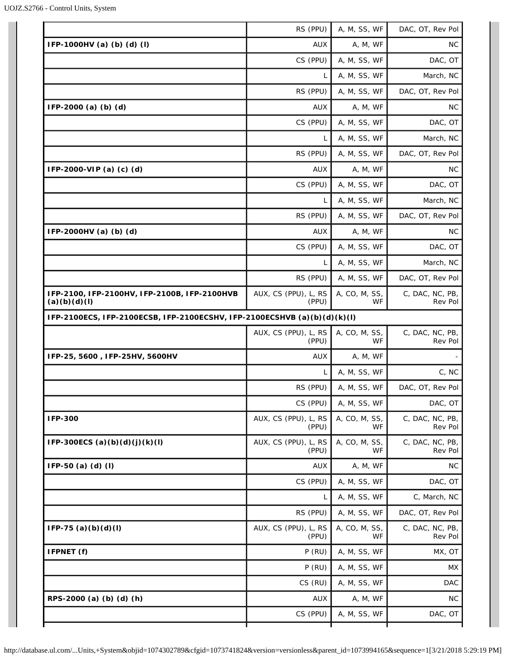|                                                                          | RS (PPU)                      | A, M, SS, WF               | DAC, OT, Rev Pol           |
|--------------------------------------------------------------------------|-------------------------------|----------------------------|----------------------------|
| IFP-1000HV (a) (b) (d) (l)                                               | <b>AUX</b>                    | A, M, WF                   | <b>NC</b>                  |
|                                                                          | CS (PPU)                      | A, M, SS, WF               | DAC, OT                    |
|                                                                          | L                             | A, M, SS, WF               | March, NC                  |
|                                                                          | RS (PPU)                      | A, M, SS, WF               | DAC, OT, Rev Pol           |
| IFP-2000 (a) (b) (d)                                                     | <b>AUX</b>                    | A, M, WF                   | <b>NC</b>                  |
|                                                                          | CS (PPU)                      | A, M, SS, WF               | DAC, OT                    |
|                                                                          | L                             | A, M, SS, WF               | March, NC                  |
|                                                                          | RS (PPU)                      | A, M, SS, WF               | DAC, OT, Rev Pol           |
| IFP-2000-VIP (a) (c) (d)                                                 | <b>AUX</b>                    | A, M, WF                   | <b>NC</b>                  |
|                                                                          | CS (PPU)                      | A, M, SS, WF               | DAC, OT                    |
|                                                                          | L                             | A, M, SS, WF               | March, NC                  |
|                                                                          | RS (PPU)                      | A, M, SS, WF               | DAC, OT, Rev Pol           |
| IFP-2000HV (a) (b) (d)                                                   | <b>AUX</b>                    | A, M, WF                   | NC.                        |
|                                                                          | CS (PPU)                      | A, M, SS, WF               | DAC, OT                    |
|                                                                          | L                             | A, M, SS, WF               | March, NC                  |
|                                                                          | RS (PPU)                      | A, M, SS, WF               | DAC, OT, Rev Pol           |
| IFP-2100, IFP-2100HV, IFP-2100B, IFP-2100HVB<br>(a)(b)(d)(l)             | AUX, CS (PPU), L, RS<br>(PPU) | A, CO, M, SS,<br><b>WF</b> | C, DAC, NC, PB,<br>Rev Pol |
| IFP-2100ECS, IFP-2100ECSB, IFP-2100ECSHV, IFP-2100ECSHVB (a)(b)(d)(k)(l) |                               |                            |                            |
|                                                                          | AUX, CS (PPU), L, RS<br>(PPU) | A, CO, M, SS,<br>WF.       | C, DAC, NC, PB,<br>Rev Pol |
| IFP-25, 5600, IFP-25HV, 5600HV                                           | AUX                           | A, M, WF                   |                            |
|                                                                          | L                             | A, M, SS, WF               | C, NC                      |
|                                                                          | RS (PPU)                      | A, M, SS, WF               | DAC, OT, Rev Pol           |
|                                                                          | CS (PPU)                      | A, M, SS, WF               | DAC, OT                    |
| <b>IFP-300</b>                                                           | AUX, CS (PPU), L, RS<br>(PPU) | A, CO, M, SS,<br>WF        | C, DAC, NC, PB,<br>Rev Pol |
| IFP-300ECS (a)(b)(d)(j)(k)(l)                                            | AUX, CS (PPU), L, RS<br>(PPU) | A, CO, M, SS,<br>WF.       | C, DAC, NC, PB,<br>Rev Pol |
| IFP-50 (a) (d) (l)                                                       | <b>AUX</b>                    | A, M, WF                   | <b>NC</b>                  |
|                                                                          | CS (PPU)                      | A, M, SS, WF               | DAC, OT                    |
|                                                                          | L                             | A, M, SS, WF               | C, March, NC               |
|                                                                          | RS (PPU)                      | A, M, SS, WF               | DAC, OT, Rev Pol           |
| $IFP-75 (a)(b)(d)(l)$                                                    | AUX, CS (PPU), L, RS<br>(PPU) | A, CO, M, SS,<br>WF        | C, DAC, NC, PB,<br>Rev Pol |
| IFPNET (f)                                                               | $P$ (RU)                      | A, M, SS, WF               | MX, OT                     |
|                                                                          | $P$ (RU)                      | A, M, SS, WF               | MX                         |
|                                                                          |                               |                            |                            |
|                                                                          | CS (RU)                       | A, M, SS, WF               | <b>DAC</b>                 |
| RPS-2000 (a) (b) (d) (h)                                                 | <b>AUX</b>                    | A, M, WF                   | <b>NC</b>                  |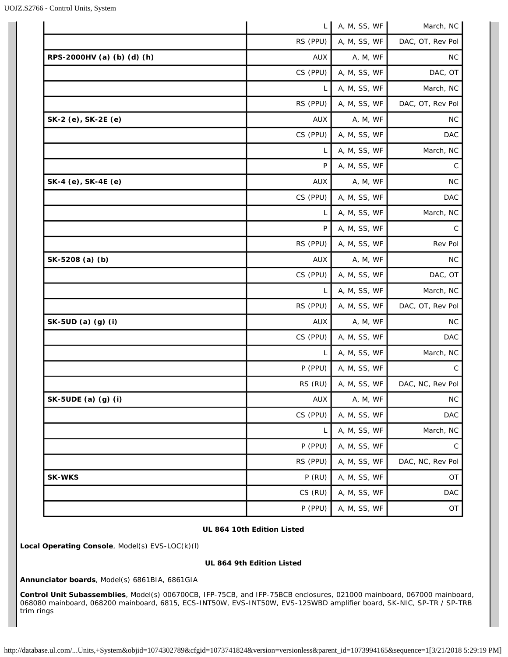|                            | L          | A, M, SS, WF | March, NC        |
|----------------------------|------------|--------------|------------------|
|                            | RS (PPU)   | A, M, SS, WF | DAC, OT, Rev Pol |
| RPS-2000HV (a) (b) (d) (h) | <b>AUX</b> | A, M, WF     | <b>NC</b>        |
|                            | CS (PPU)   | A, M, SS, WF | DAC, OT          |
|                            | L          | A, M, SS, WF | March, NC        |
|                            | RS (PPU)   | A, M, SS, WF | DAC, OT, Rev Pol |
| SK-2 (e), SK-2E (e)        | <b>AUX</b> | A, M, WF     | NC.              |
|                            | CS (PPU)   | A, M, SS, WF | DAC              |
|                            | L          | A, M, SS, WF | March, NC        |
|                            | P          | A, M, SS, WF | C                |
| SK-4 (e), SK-4E (e)        | <b>AUX</b> | A, M, WF     | <b>NC</b>        |
|                            | CS (PPU)   | A, M, SS, WF | DAC              |
|                            | L          | A, M, SS, WF | March, NC        |
|                            | P          | A, M, SS, WF | C                |
|                            | RS (PPU)   | A, M, SS, WF | Rev Pol          |
| SK-5208 (a) (b)            | <b>AUX</b> | A, M, WF     | <b>NC</b>        |
|                            | CS (PPU)   | A, M, SS, WF | DAC, OT          |
|                            | L          | A, M, SS, WF | March, NC        |
|                            | RS (PPU)   | A, M, SS, WF | DAC, OT, Rev Pol |
| SK-5UD (a) (g) (i)         | AUX        | A, M, WF     | <b>NC</b>        |
|                            | CS (PPU)   | A, M, SS, WF | DAC              |
|                            | L          | A, M, SS, WF | March, NC        |
|                            | P (PPU)    | A, M, SS, WF | $\mathsf{C}$     |
|                            | RS (RU)    | A, M, SS, WF | DAC, NC, Rev Pol |
| SK-5UDE (a) (g) (i)        | AUX        | A, M, WF     | ${\sf NC}$       |
|                            | CS (PPU)   | A, M, SS, WF | DAC              |
|                            | L          | A, M, SS, WF | March, NC        |
|                            | P (PPU)    | A, M, SS, WF | ${\rm C}$        |
|                            | RS (PPU)   | A, M, SS, WF | DAC, NC, Rev Pol |
| <b>SK-WKS</b>              | $P$ (RU)   | A, M, SS, WF | OT               |
|                            | CS (RU)    | A, M, SS, WF | <b>DAC</b>       |
|                            | P (PPU)    | A, M, SS, WF | OT               |

# **UL 864 10th Edition Listed**

**Local Operating Console**, Model(s) EVS-LOC(k)(l)

### **UL 864 9th Edition Listed**

**Annunciator boards**, Model(s) 6861BIA, 6861GIA

**Control Unit Subassemblies**, Model(s) 006700CB, IFP-75CB, and IFP-75BCB enclosures, 021000 mainboard, 067000 mainboard, 068080 mainboard, 068200 mainboard, 6815, ECS-INT50W, EVS-INT50W, EVS-125WBD amplifier board, SK-NIC, SP-TR / SP-TRB trim rings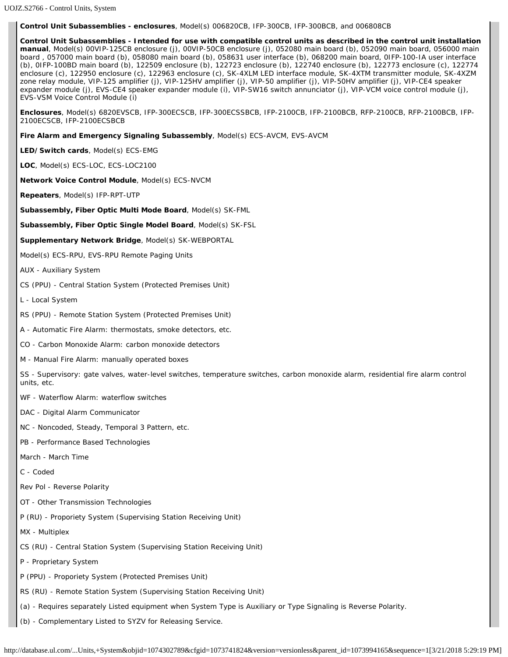#### **Control Unit Subassemblies - enclosures**, Model(s) 006820CB, IFP-300CB, IFP-300BCB, and 006808CB

**Control Unit Subassemblies - Intended for use with compatible control units as described in the control unit installation manual**, Model(s) 00VIP-125CB enclosure (j), 00VIP-50CB enclosure (j), 052080 main board (b), 052090 main board, 056000 main board , 057000 main board (b), 058080 main board (b), 058631 user interface (b), 068200 main board, 0IFP-100-IA user interface (b), 0IFP-100BD main board (b), 122509 enclosure (b), 122723 enclosure (b), 122740 enclosure (b), 122773 enclosure (c), 122774 enclosure (c), 122950 enclosure (c), 122963 enclosure (c), SK-4XLM LED interface module, SK-4XTM transmitter module, SK-4XZM zone relay module, VIP-125 amplifier (j), VIP-125HV amplifier (j), VIP-50 amplifier (j), VIP-50HV amplifier (j), VIP-CE4 speaker expander module (j), EVS-CE4 speaker expander module (i), VIP-SW16 switch annunciator (j), VIP-VCM voice control module (j), EVS-VSM Voice Control Module (i)

**Enclosures**, Model(s) 6820EVSCB, IFP-300ECSCB, IFP-300ECSSBCB, IFP-2100CB, IFP-2100BCB, RFP-2100CB, RFP-2100BCB, IFP-2100ECSCB, IFP-2100ECSBCB

**Fire Alarm and Emergency Signaling Subassembly**, Model(s) ECS-AVCM, EVS-AVCM

**LED/Switch cards**, Model(s) ECS-EMG

**LOC**, Model(s) ECS-LOC, ECS-LOC2100

**Network Voice Control Module**, Model(s) ECS-NVCM

**Repeaters**, Model(s) IFP-RPT-UTP

**Subassembly, Fiber Optic Multi Mode Board**, Model(s) SK-FML

**Subassembly, Fiber Optic Single Model Board**, Model(s) SK-FSL

**Supplementary Network Bridge**, Model(s) SK-WEBPORTAL

Model(s) ECS-RPU, EVS-RPU Remote Paging Units

AUX - Auxiliary System

CS (PPU) - Central Station System (Protected Premises Unit)

L - Local System

RS (PPU) - Remote Station System (Protected Premises Unit)

A - Automatic Fire Alarm: thermostats, smoke detectors, etc.

CO - Carbon Monoxide Alarm: carbon monoxide detectors

M - Manual Fire Alarm: manually operated boxes

SS - Supervisory: gate valves, water-level switches, temperature switches, carbon monoxide alarm, residential fire alarm control units, etc.

WF - Waterflow Alarm: waterflow switches

DAC - Digital Alarm Communicator

NC - Noncoded, Steady, Temporal 3 Pattern, etc.

PB - Performance Based Technologies

March - March Time

C - Coded

Rev Pol - Reverse Polarity

OT - Other Transmission Technologies

P (RU) - Proporiety System (Supervising Station Receiving Unit)

MX - Multiplex

CS (RU) - Central Station System (Supervising Station Receiving Unit)

P - Proprietary System

P (PPU) - Proporiety System (Protected Premises Unit)

RS (RU) - Remote Station System (Supervising Station Receiving Unit)

(a) - Requires separately Listed equipment when System Type is Auxiliary or Type Signaling is Reverse Polarity.

(b) - Complementary Listed to SYZV for Releasing Service.